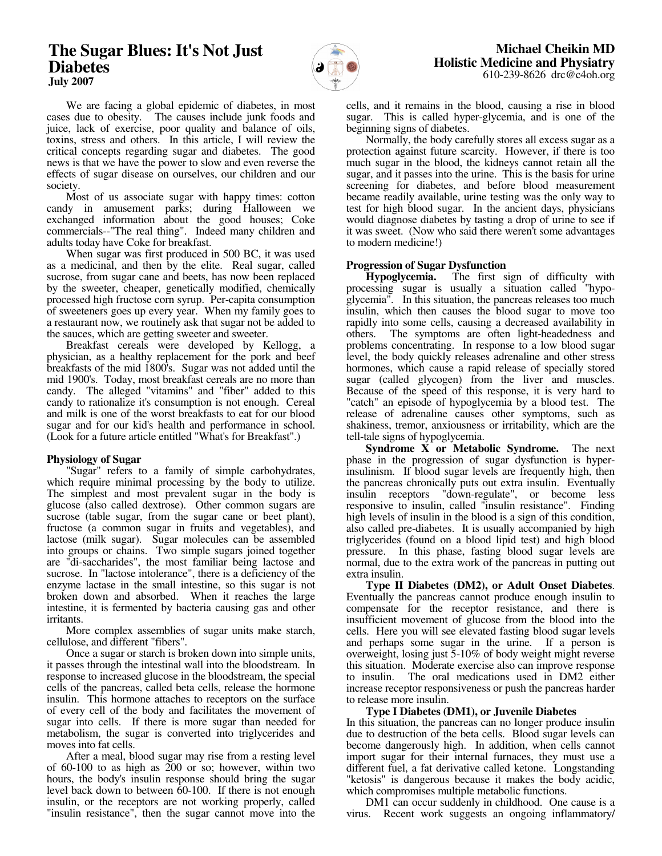# **The Sugar Blues: It's Not Just Diabetes July 2007**



 We are facing a global epidemic of diabetes, in most cases due to obesity. The causes include junk foods and juice, lack of exercise, poor quality and balance of oils, toxins, stress and others. In this article, I will review the critical concepts regarding sugar and diabetes. The good news is that we have the power to slow and even reverse the effects of sugar disease on ourselves, our children and our society.

 Most of us associate sugar with happy times: cotton candy in amusement parks; during Halloween we exchanged information about the good houses; Coke commercials--"The real thing". Indeed many children and adults today have Coke for breakfast.

 When sugar was first produced in 500 BC, it was used as a medicinal, and then by the elite. Real sugar, called sucrose, from sugar cane and beets, has now been replaced by the sweeter, cheaper, genetically modified, chemically processed high fructose corn syrup. Per-capita consumption of sweeteners goes up every year. When my family goes to a restaurant now, we routinely ask that sugar not be added to the sauces, which are getting sweeter and sweeter.

 Breakfast cereals were developed by Kellogg, a physician, as a healthy replacement for the pork and beef breakfasts of the mid 1800's. Sugar was not added until the mid 1900's. Today, most breakfast cereals are no more than candy. The alleged "vitamins" and "fiber" added to this candy to rationalize it's consumption is not enough. Cereal and milk is one of the worst breakfasts to eat for our blood sugar and for our kid's health and performance in school. (Look for a future article entitled "What's for Breakfast".)

# **Physiology of Sugar**

 "Sugar" refers to a family of simple carbohydrates, which require minimal processing by the body to utilize. The simplest and most prevalent sugar in the body is glucose (also called dextrose). Other common sugars are sucrose (table sugar, from the sugar cane or beet plant), fructose (a common sugar in fruits and vegetables), and lactose (milk sugar). Sugar molecules can be assembled into groups or chains. Two simple sugars joined together are "di-saccharides", the most familiar being lactose and sucrose. In "lactose intolerance", there is a deficiency of the enzyme lactase in the small intestine, so this sugar is not broken down and absorbed. When it reaches the large intestine, it is fermented by bacteria causing gas and other irritants.

 More complex assemblies of sugar units make starch, cellulose, and different "fibers".

 Once a sugar or starch is broken down into simple units, it passes through the intestinal wall into the bloodstream. In response to increased glucose in the bloodstream, the special cells of the pancreas, called beta cells, release the hormone insulin. This hormone attaches to receptors on the surface of every cell of the body and facilitates the movement of sugar into cells. If there is more sugar than needed for metabolism, the sugar is converted into triglycerides and moves into fat cells.

 After a meal, blood sugar may rise from a resting level of 60-100 to as high as 200 or so; however, within two hours, the body's insulin response should bring the sugar level back down to between 60-100. If there is not enough insulin, or the receptors are not working properly, called "insulin resistance", then the sugar cannot move into the cells, and it remains in the blood, causing a rise in blood sugar. This is called hyper-glycemia, and is one of the beginning signs of diabetes.

 Normally, the body carefully stores all excess sugar as a protection against future scarcity. However, if there is too much sugar in the blood, the kidneys cannot retain all the sugar, and it passes into the urine. This is the basis for urine screening for diabetes, and before blood measurement became readily available, urine testing was the only way to test for high blood sugar. In the ancient days, physicians would diagnose diabetes by tasting a drop of urine to see if it was sweet. (Now who said there weren't some advantages to modern medicine!)

# **Progression of Sugar Dysfunction**

 **Hypoglycemia.** The first sign of difficulty with processing sugar is usually a situation called "hypoglycemia". In this situation, the pancreas releases too much insulin, which then causes the blood sugar to move too rapidly into some cells, causing a decreased availability in others. The symptoms are often light-headedness and problems concentrating. In response to a low blood sugar level, the body quickly releases adrenaline and other stress hormones, which cause a rapid release of specially stored sugar (called glycogen) from the liver and muscles. Because of the speed of this response, it is very hard to "catch" an episode of hypoglycemia by a blood test. The release of adrenaline causes other symptoms, such as shakiness, tremor, anxiousness or irritability, which are the tell-tale signs of hypoglycemia.

 **Syndrome X or Metabolic Syndrome.** The next phase in the progression of sugar dysfunction is hyperinsulinism. If blood sugar levels are frequently high, then the pancreas chronically puts out extra insulin. Eventually insulin receptors "down-regulate", or become less "down-regulate", or become less responsive to insulin, called "insulin resistance". Finding high levels of insulin in the blood is a sign of this condition, also called pre-diabetes. It is usually accompanied by high triglycerides (found on a blood lipid test) and high blood pressure. In this phase, fasting blood sugar levels are normal, due to the extra work of the pancreas in putting out extra insulin.

 **Type II Diabetes (DM2), or Adult Onset Diabetes**. Eventually the pancreas cannot produce enough insulin to compensate for the receptor resistance, and there is insufficient movement of glucose from the blood into the cells. Here you will see elevated fasting blood sugar levels and perhaps some sugar in the urine. If a person is overweight, losing just 5-10% of body weight might reverse this situation. Moderate exercise also can improve response to insulin. The oral medications used in DM2 either increase receptor responsiveness or push the pancreas harder to release more insulin.

# **Type I Diabetes (DM1), or Juvenile Diabetes**

In this situation, the pancreas can no longer produce insulin due to destruction of the beta cells. Blood sugar levels can become dangerously high. In addition, when cells cannot import sugar for their internal furnaces, they must use a different fuel, a fat derivative called ketone. Longstanding "ketosis" is dangerous because it makes the body acidic, which compromises multiple metabolic functions.

 DM1 can occur suddenly in childhood. One cause is a virus. Recent work suggests an ongoing inflammatory/